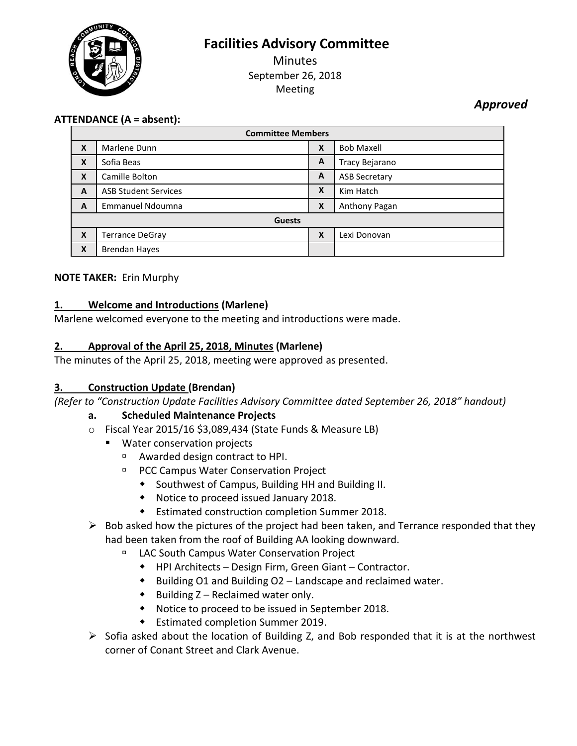**Facilities Advisory Committee**



**Minutes** September 26, 2018 Meeting

*Approved*

# **ATTENDANCE (A = absent):**

| <b>Committee Members</b> |                             |   |                      |
|--------------------------|-----------------------------|---|----------------------|
| X                        | Marlene Dunn                | X | <b>Bob Maxell</b>    |
| X                        | Sofia Beas                  | A | Tracy Bejarano       |
| X                        | Camille Bolton              | A | <b>ASB Secretary</b> |
| A                        | <b>ASB Student Services</b> | X | Kim Hatch            |
| A                        | <b>Emmanuel Ndoumna</b>     | X | Anthony Pagan        |
| <b>Guests</b>            |                             |   |                      |
| X                        | Terrance DeGray             | X | Lexi Donovan         |
| X                        | <b>Brendan Hayes</b>        |   |                      |

### **NOTE TAKER:** Erin Murphy

# **1. Welcome and Introductions (Marlene)**

Marlene welcomed everyone to the meeting and introductions were made.

# **2. Approval of the April 25, 2018, Minutes (Marlene)**

The minutes of the April 25, 2018, meeting were approved as presented.

### **3. Construction Update (Brendan)**

*(Refer to "Construction Update Facilities Advisory Committee dated September 26, 2018" handout)*

### **a. Scheduled Maintenance Projects**

- o Fiscal Year 2015/16 \$3,089,434 (State Funds & Measure LB)
	- **Water conservation projects** 
		- Awarded design contract to HPI.
		- **PCC Campus Water Conservation Project** 
			- Southwest of Campus, Building HH and Building II.
			- Notice to proceed issued January 2018.
			- Estimated construction completion Summer 2018.
- $\triangleright$  Bob asked how the pictures of the project had been taken, and Terrance responded that they had been taken from the roof of Building AA looking downward.
	- LAC South Campus Water Conservation Project
		- HPI Architects Design Firm, Green Giant Contractor.
		- $\bullet$  Building O1 and Building O2 Landscape and reclaimed water.
		- $\bullet$  Building Z Reclaimed water only.
		- Notice to proceed to be issued in September 2018.
		- Estimated completion Summer 2019.
- $\triangleright$  Sofia asked about the location of Building Z, and Bob responded that it is at the northwest corner of Conant Street and Clark Avenue.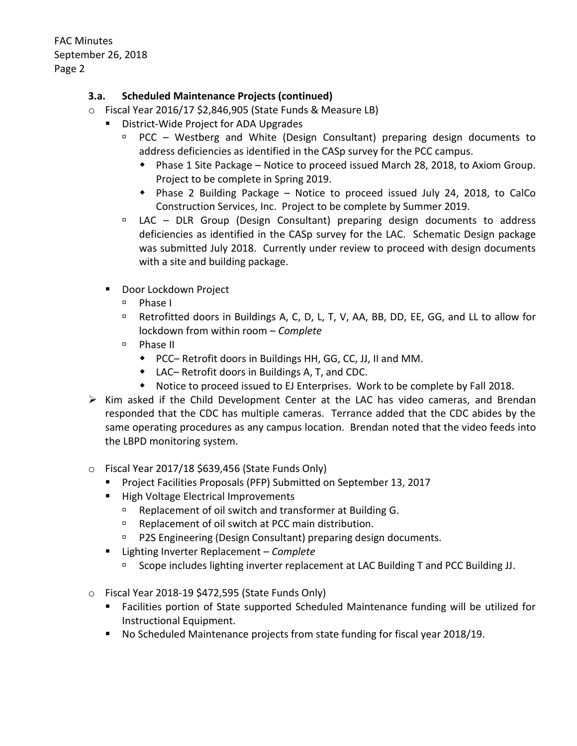### **3.a. Scheduled Maintenance Projects (continued)**

- o Fiscal Year 2016/17 \$2,846,905 (State Funds & Measure LB)
	- District-Wide Project for ADA Upgrades
		- $PCC Westberg$  and White (Design Consultant) preparing design documents to address deficiencies as identified in the CASp survey for the PCC campus.
			- Phase 1 Site Package Notice to proceed issued March 28, 2018, to Axiom Group. Project to be complete in Spring 2019.
			- Phase 2 Building Package Notice to proceed issued July 24, 2018, to CalCo Construction Services, Inc. Project to be complete by Summer 2019.
		- $\Box$  LAC DLR Group (Design Consultant) preparing design documents to address deficiencies as identified in the CASp survey for the LAC. Schematic Design package was submitted July 2018. Currently under review to proceed with design documents with a site and building package.
	- **Door Lockdown Project** 
		- Phase I
		- □ Retrofitted doors in Buildings A, C, D, L, T, V, AA, BB, DD, EE, GG, and LL to allow for lockdown from within room – *Complete*
		- $P$ hase II
			- PCC– Retrofit doors in Buildings HH, GG, CC, JJ, II and MM.
			- LAC– Retrofit doors in Buildings A, T, and CDC.
			- Notice to proceed issued to EJ Enterprises. Work to be complete by Fall 2018.
- $\triangleright$  Kim asked if the Child Development Center at the LAC has video cameras, and Brendan responded that the CDC has multiple cameras. Terrance added that the CDC abides by the same operating procedures as any campus location. Brendan noted that the video feeds into the LBPD monitoring system.
- $\circ$  Fiscal Year 2017/18 \$639,456 (State Funds Only)
	- **Project Facilities Proposals (PFP) Submitted on September 13, 2017**
	- **High Voltage Electrical Improvements** 
		- Replacement of oil switch and transformer at Building G.
		- □ Replacement of oil switch at PCC main distribution.
		- **P2S Engineering (Design Consultant) preparing design documents.**
	- Lighting Inverter Replacement *Complete* 
		- □ Scope includes lighting inverter replacement at LAC Building T and PCC Building JJ.
- o Fiscal Year 2018-19 \$472,595 (State Funds Only)
	- Facilities portion of State supported Scheduled Maintenance funding will be utilized for Instructional Equipment.
	- No Scheduled Maintenance projects from state funding for fiscal year 2018/19.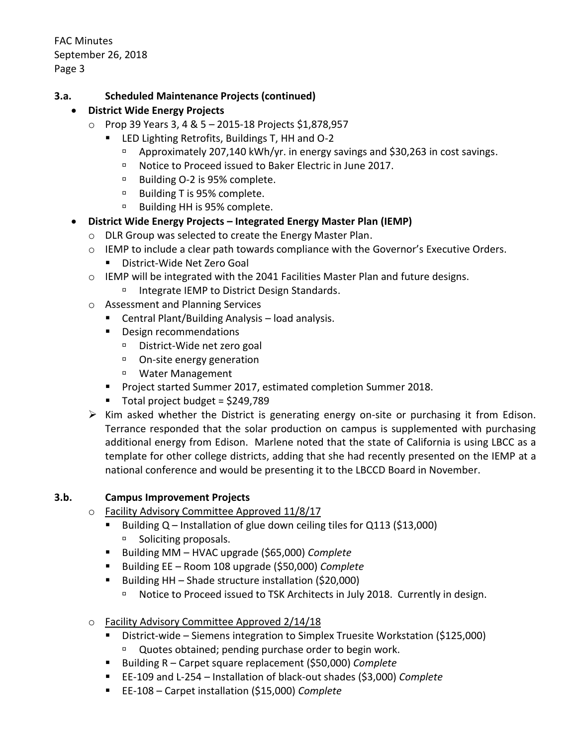### **3.a. Scheduled Maintenance Projects (continued)**

### **District Wide Energy Projects**

- o Prop 39 Years 3, 4 & 5 2015-18 Projects \$1,878,957
	- LED Lighting Retrofits, Buildings T, HH and O-2
		- Approximately 207,140 kWh/yr. in energy savings and \$30,263 in cost savings.
		- □ Notice to Proceed issued to Baker Electric in June 2017.
		- □ Building O-2 is 95% complete.
		- □ Building T is 95% complete.
		- □ Building HH is 95% complete.

# **District Wide Energy Projects – Integrated Energy Master Plan (IEMP)**

- o DLR Group was selected to create the Energy Master Plan.
- o IEMP to include a clear path towards compliance with the Governor's Executive Orders.
	- District-Wide Net Zero Goal
- o IEMP will be integrated with the 2041 Facilities Master Plan and future designs.
	- □ Integrate IEMP to District Design Standards.
- o Assessment and Planning Services
	- Central Plant/Building Analysis load analysis.
	- **Design recommendations** 
		- District-Wide net zero goal
		- On-site energy generation
		- Water Management
	- **Project started Summer 2017, estimated completion Summer 2018.**
	- Total project budget =  $$249,789$
- $\triangleright$  Kim asked whether the District is generating energy on-site or purchasing it from Edison. Terrance responded that the solar production on campus is supplemented with purchasing additional energy from Edison. Marlene noted that the state of California is using LBCC as a template for other college districts, adding that she had recently presented on the IEMP at a national conference and would be presenting it to the LBCCD Board in November.

### **3.b. Campus Improvement Projects**

- o Facility Advisory Committee Approved 11/8/17
	- Building  $Q$  Installation of glue down ceiling tiles for  $Q$ 113 (\$13,000) <sup>D</sup> Soliciting proposals.
	- Building MM HVAC upgrade (\$65,000) *Complete*
	- Building EE Room 108 upgrade (\$50,000) *Complete*
	- Building HH Shade structure installation (\$20,000)
		- □ Notice to Proceed issued to TSK Architects in July 2018. Currently in design.
- o Facility Advisory Committee Approved 2/14/18
	- District-wide Siemens integration to Simplex Truesite Workstation (\$125,000) <sup>n</sup> Quotes obtained; pending purchase order to begin work.
	- Building R Carpet square replacement (\$50,000) *Complete*
	- EE-109 and L-254 Installation of black-out shades (\$3,000) *Complete*
	- EE-108 Carpet installation (\$15,000) *Complete*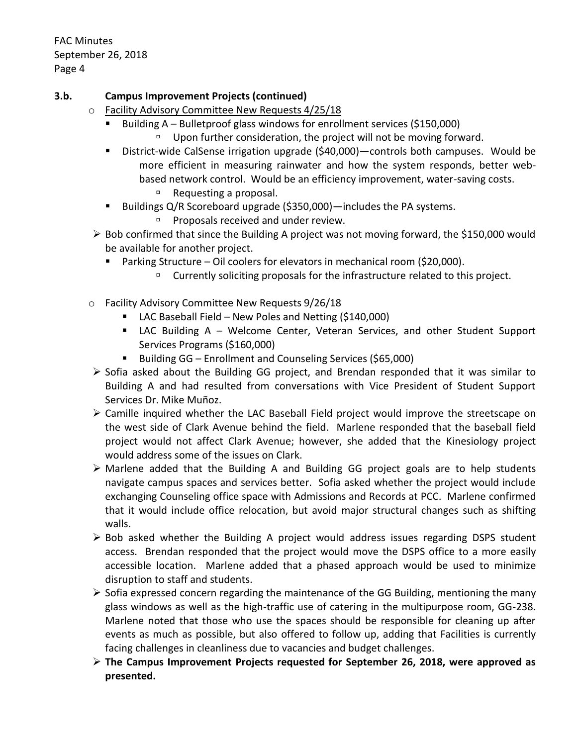### **3.b. Campus Improvement Projects (continued)**

- o Facility Advisory Committee New Requests 4/25/18
	- Building A Bulletproof glass windows for enrollment services (\$150,000) Upon further consideration, the project will not be moving forward.
	- District-wide CalSense irrigation upgrade (\$40,000)—controls both campuses. Would be more efficient in measuring rainwater and how the system responds, better webbased network control. Would be an efficiency improvement, water-saving costs.
		- □ Requesting a proposal.
	- Buildings Q/R Scoreboard upgrade (\$350,000)—includes the PA systems.
		- $\Box$  Proposals received and under review.
- $\triangleright$  Bob confirmed that since the Building A project was not moving forward, the \$150,000 would be available for another project.
	- Parking Structure Oil coolers for elevators in mechanical room (\$20,000).
		- Currently soliciting proposals for the infrastructure related to this project.
- o Facility Advisory Committee New Requests 9/26/18
	- LAC Baseball Field New Poles and Netting (\$140,000)
	- LAC Building A Welcome Center, Veteran Services, and other Student Support Services Programs (\$160,000)
	- Building GG Enrollment and Counseling Services (\$65,000)
- $\triangleright$  Sofia asked about the Building GG project, and Brendan responded that it was similar to Building A and had resulted from conversations with Vice President of Student Support Services Dr. Mike Muñoz.
- Camille inquired whether the LAC Baseball Field project would improve the streetscape on the west side of Clark Avenue behind the field. Marlene responded that the baseball field project would not affect Clark Avenue; however, she added that the Kinesiology project would address some of the issues on Clark.
- $\triangleright$  Marlene added that the Building A and Building GG project goals are to help students navigate campus spaces and services better. Sofia asked whether the project would include exchanging Counseling office space with Admissions and Records at PCC. Marlene confirmed that it would include office relocation, but avoid major structural changes such as shifting walls.
- $\triangleright$  Bob asked whether the Building A project would address issues regarding DSPS student access. Brendan responded that the project would move the DSPS office to a more easily accessible location. Marlene added that a phased approach would be used to minimize disruption to staff and students.
- $\triangleright$  Sofia expressed concern regarding the maintenance of the GG Building, mentioning the many glass windows as well as the high-traffic use of catering in the multipurpose room, GG-238. Marlene noted that those who use the spaces should be responsible for cleaning up after events as much as possible, but also offered to follow up, adding that Facilities is currently facing challenges in cleanliness due to vacancies and budget challenges.
- **The Campus Improvement Projects requested for September 26, 2018, were approved as presented.**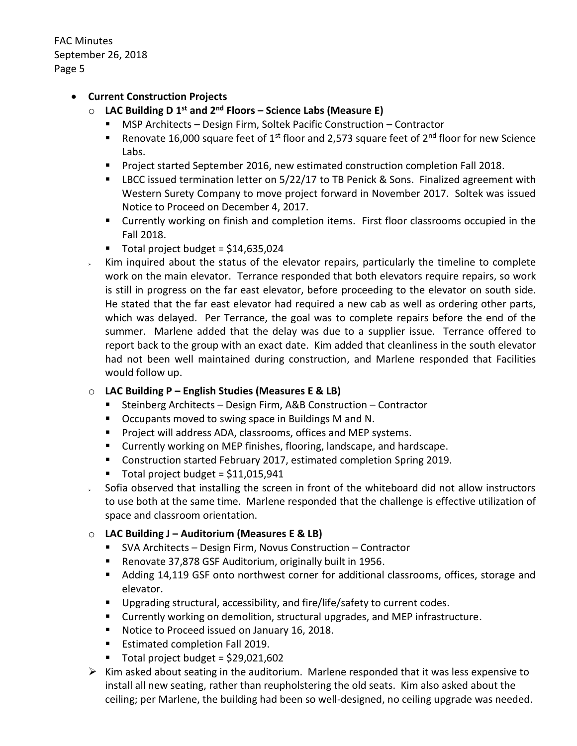### **Current Construction Projects**

- o **LAC Building D 1 st and 2nd Floors – Science Labs (Measure E)**
	- MSP Architects Design Firm, Soltek Pacific Construction Contractor
	- **Renovate 16,000 square feet of 1st floor and 2,573 square feet of 2<sup>nd</sup> floor for new Science** Labs.
	- **Project started September 2016, new estimated construction completion Fall 2018.**
	- **EXEC 2.5 IDCC issued termination letter on 5/22/17 to TB Penick & Sons. Finalized agreement with** Western Surety Company to move project forward in November 2017. Soltek was issued Notice to Proceed on December 4, 2017.
	- Currently working on finish and completion items. First floor classrooms occupied in the Fall 2018.
	- Total project budget =  $$14,635,024$
- $\sim$  Kim inquired about the status of the elevator repairs, particularly the timeline to complete work on the main elevator. Terrance responded that both elevators require repairs, so work is still in progress on the far east elevator, before proceeding to the elevator on south side. He stated that the far east elevator had required a new cab as well as ordering other parts, which was delayed. Per Terrance, the goal was to complete repairs before the end of the summer. Marlene added that the delay was due to a supplier issue. Terrance offered to report back to the group with an exact date. Kim added that cleanliness in the south elevator had not been well maintained during construction, and Marlene responded that Facilities would follow up.

#### o **LAC Building P – English Studies (Measures E & LB)**

- Steinberg Architects Design Firm, A&B Construction Contractor
- Occupants moved to swing space in Buildings M and N.
- **Project will address ADA, classrooms, offices and MEP systems.**
- Currently working on MEP finishes, flooring, landscape, and hardscape.
- **Construction started February 2017, estimated completion Spring 2019.**
- $\blacksquare$  Total project budget = \$11,015,941
- $\sim$  Sofia observed that installing the screen in front of the whiteboard did not allow instructors to use both at the same time. Marlene responded that the challenge is effective utilization of space and classroom orientation.

### o **LAC Building J – Auditorium (Measures E & LB)**

- SVA Architects Design Firm, Novus Construction Contractor
- Renovate 37,878 GSF Auditorium, originally built in 1956.
- Adding 14,119 GSF onto northwest corner for additional classrooms, offices, storage and elevator.
- Upgrading structural, accessibility, and fire/life/safety to current codes.
- **EXP** Currently working on demolition, structural upgrades, and MEP infrastructure.
- Notice to Proceed issued on January 16, 2018.
- **Estimated completion Fall 2019.**
- $\blacksquare$  Total project budget = \$29,021,602
- $\triangleright$  Kim asked about seating in the auditorium. Marlene responded that it was less expensive to install all new seating, rather than reupholstering the old seats. Kim also asked about the ceiling; per Marlene, the building had been so well-designed, no ceiling upgrade was needed.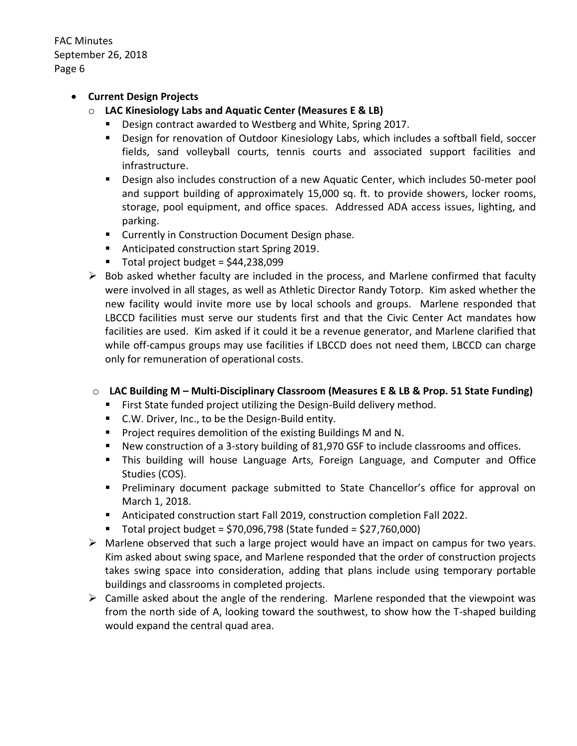#### **Current Design Projects**

- o **LAC Kinesiology Labs and Aquatic Center (Measures E & LB)**
	- Design contract awarded to Westberg and White, Spring 2017.
	- Design for renovation of Outdoor Kinesiology Labs, which includes a softball field, soccer fields, sand volleyball courts, tennis courts and associated support facilities and infrastructure.
	- Design also includes construction of a new Aquatic Center, which includes 50-meter pool and support building of approximately 15,000 sq. ft. to provide showers, locker rooms, storage, pool equipment, and office spaces. Addressed ADA access issues, lighting, and parking.
	- **E** Currently in Construction Document Design phase.
	- Anticipated construction start Spring 2019.
	- $\blacksquare$  Total project budget = \$44,238,099
- $\triangleright$  Bob asked whether faculty are included in the process, and Marlene confirmed that faculty were involved in all stages, as well as Athletic Director Randy Totorp. Kim asked whether the new facility would invite more use by local schools and groups. Marlene responded that LBCCD facilities must serve our students first and that the Civic Center Act mandates how facilities are used. Kim asked if it could it be a revenue generator, and Marlene clarified that while off-campus groups may use facilities if LBCCD does not need them, LBCCD can charge only for remuneration of operational costs.

#### o **LAC Building M – Multi-Disciplinary Classroom (Measures E & LB & Prop. 51 State Funding)**

- **First State funded project utilizing the Design-Build delivery method.**
- C.W. Driver, Inc., to be the Design-Build entity.
- **Project requires demolition of the existing Buildings M and N.**
- New construction of a 3-story building of 81,970 GSF to include classrooms and offices.
- This building will house Language Arts, Foreign Language, and Computer and Office Studies (COS).
- Preliminary document package submitted to State Chancellor's office for approval on March 1, 2018.
- Anticipated construction start Fall 2019, construction completion Fall 2022.
- $\blacksquare$  Total project budget = \$70,096,798 (State funded = \$27,760,000)
- $\triangleright$  Marlene observed that such a large project would have an impact on campus for two years. Kim asked about swing space, and Marlene responded that the order of construction projects takes swing space into consideration, adding that plans include using temporary portable buildings and classrooms in completed projects.
- $\triangleright$  Camille asked about the angle of the rendering. Marlene responded that the viewpoint was from the north side of A, looking toward the southwest, to show how the T-shaped building would expand the central quad area.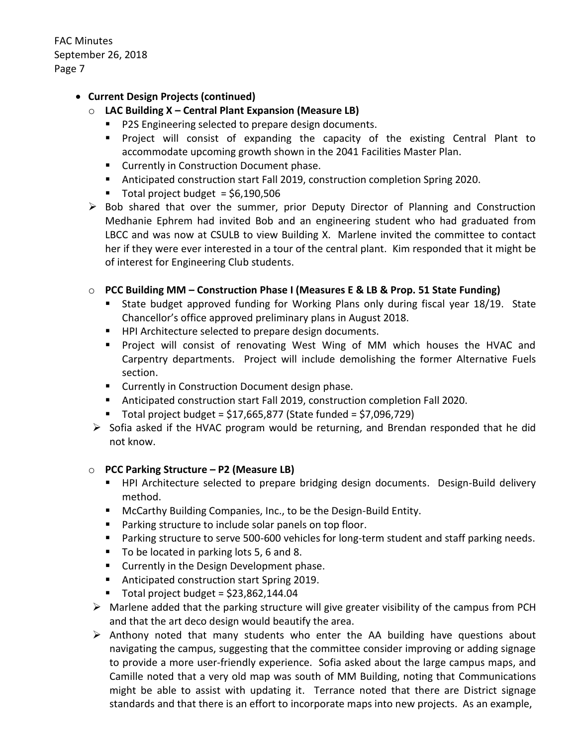### **Current Design Projects (continued)**

- o **LAC Building X – Central Plant Expansion (Measure LB)**
	- **P2S Engineering selected to prepare design documents.**
	- Project will consist of expanding the capacity of the existing Central Plant to accommodate upcoming growth shown in the 2041 Facilities Master Plan.
	- **EXECUTE:** Currently in Construction Document phase.
	- Anticipated construction start Fall 2019, construction completion Spring 2020.
	- $\blacksquare$  Total project budget = \$6.190.506
- $\triangleright$  Bob shared that over the summer, prior Deputy Director of Planning and Construction Medhanie Ephrem had invited Bob and an engineering student who had graduated from LBCC and was now at CSULB to view Building X. Marlene invited the committee to contact her if they were ever interested in a tour of the central plant. Kim responded that it might be of interest for Engineering Club students.

#### o **PCC Building MM – Construction Phase I (Measures E & LB & Prop. 51 State Funding)**

- State budget approved funding for Working Plans only during fiscal year 18/19. State Chancellor's office approved preliminary plans in August 2018.
- **HPI Architecture selected to prepare design documents.**
- Project will consist of renovating West Wing of MM which houses the HVAC and Carpentry departments. Project will include demolishing the former Alternative Fuels section.
- **EXECUTE:** Currently in Construction Document design phase.
- Anticipated construction start Fall 2019, construction completion Fall 2020.
- $\blacksquare$  Total project budget = \$17,665,877 (State funded = \$7,096,729)
- $\triangleright$  Sofia asked if the HVAC program would be returning, and Brendan responded that he did not know.

#### o **PCC Parking Structure – P2 (Measure LB)**

- **HPI Architecture selected to prepare bridging design documents. Design-Build delivery** method.
- **McCarthy Building Companies, Inc., to be the Design-Build Entity.**
- **Parking structure to include solar panels on top floor.**
- **Parking structure to serve 500-600 vehicles for long-term student and staff parking needs.**
- To be located in parking lots 5, 6 and 8.
- **EXECUTE:** Currently in the Design Development phase.
- Anticipated construction start Spring 2019.
- $\blacksquare$  Total project budget = \$23,862,144.04
- $\triangleright$  Marlene added that the parking structure will give greater visibility of the campus from PCH and that the art deco design would beautify the area.
- $\triangleright$  Anthony noted that many students who enter the AA building have questions about navigating the campus, suggesting that the committee consider improving or adding signage to provide a more user-friendly experience. Sofia asked about the large campus maps, and Camille noted that a very old map was south of MM Building, noting that Communications might be able to assist with updating it. Terrance noted that there are District signage standards and that there is an effort to incorporate maps into new projects. As an example,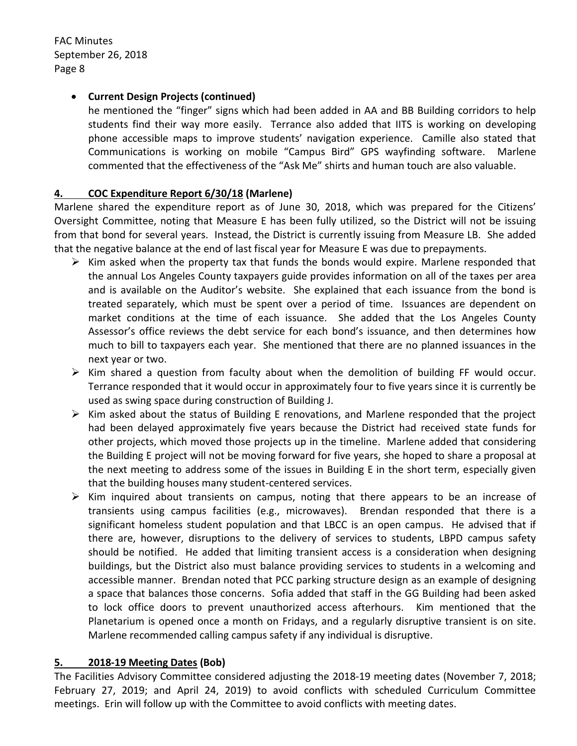### **Current Design Projects (continued)**

he mentioned the "finger" signs which had been added in AA and BB Building corridors to help students find their way more easily. Terrance also added that IITS is working on developing phone accessible maps to improve students' navigation experience. Camille also stated that Communications is working on mobile "Campus Bird" GPS wayfinding software. Marlene commented that the effectiveness of the "Ask Me" shirts and human touch are also valuable.

### **4. COC Expenditure Report 6/30/18 (Marlene)**

Marlene shared the expenditure report as of June 30, 2018, which was prepared for the Citizens' Oversight Committee, noting that Measure E has been fully utilized, so the District will not be issuing from that bond for several years. Instead, the District is currently issuing from Measure LB. She added that the negative balance at the end of last fiscal year for Measure E was due to prepayments.

- $\triangleright$  Kim asked when the property tax that funds the bonds would expire. Marlene responded that the annual Los Angeles County taxpayers guide provides information on all of the taxes per area and is available on the Auditor's website. She explained that each issuance from the bond is treated separately, which must be spent over a period of time. Issuances are dependent on market conditions at the time of each issuance. She added that the Los Angeles County Assessor's office reviews the debt service for each bond's issuance, and then determines how much to bill to taxpayers each year. She mentioned that there are no planned issuances in the next year or two.
- $\triangleright$  Kim shared a question from faculty about when the demolition of building FF would occur. Terrance responded that it would occur in approximately four to five years since it is currently be used as swing space during construction of Building J.
- $\triangleright$  Kim asked about the status of Building E renovations, and Marlene responded that the project had been delayed approximately five years because the District had received state funds for other projects, which moved those projects up in the timeline. Marlene added that considering the Building E project will not be moving forward for five years, she hoped to share a proposal at the next meeting to address some of the issues in Building E in the short term, especially given that the building houses many student-centered services.
- $\triangleright$  Kim inquired about transients on campus, noting that there appears to be an increase of transients using campus facilities (e.g., microwaves). Brendan responded that there is a significant homeless student population and that LBCC is an open campus. He advised that if there are, however, disruptions to the delivery of services to students, LBPD campus safety should be notified. He added that limiting transient access is a consideration when designing buildings, but the District also must balance providing services to students in a welcoming and accessible manner. Brendan noted that PCC parking structure design as an example of designing a space that balances those concerns. Sofia added that staff in the GG Building had been asked to lock office doors to prevent unauthorized access afterhours. Kim mentioned that the Planetarium is opened once a month on Fridays, and a regularly disruptive transient is on site. Marlene recommended calling campus safety if any individual is disruptive.

#### **5. 2018-19 Meeting Dates (Bob)**

The Facilities Advisory Committee considered adjusting the 2018-19 meeting dates (November 7, 2018; February 27, 2019; and April 24, 2019) to avoid conflicts with scheduled Curriculum Committee meetings. Erin will follow up with the Committee to avoid conflicts with meeting dates.